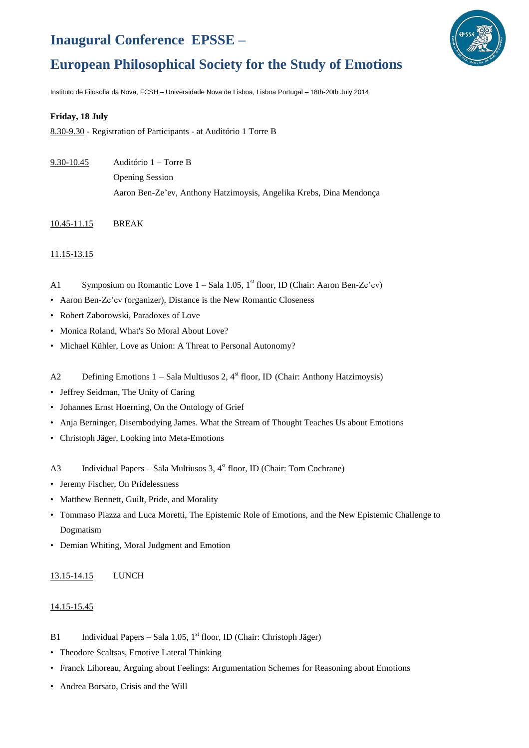# **Inaugural Conference EPSSE –**



## **European Philosophical Society for the Study of Emotions**

Instituto de Filosofia da Nova, FCSH – Universidade Nova de Lisboa, Lisboa Portugal – 18th-20th July 2014

#### **Friday, 18 July**

8.30-9.30 - Registration of Participants - at Auditório 1 Torre B

- 9.30-10.45 Auditório 1 Torre B
	- Opening Session

Aaron Ben-Ze'ev, Anthony Hatzimoysis, Angelika Krebs, Dina Mendonça

10.45-11.15 BREAK

## 11.15-13.15

- A1 Symposium on Romantic Love 1 Sala 1.05, 1<sup>st</sup> floor, ID (Chair: Aaron Ben-Ze'ev)
- Aaron Ben-Ze'ev (organizer), Distance is the New Romantic Closeness
- Robert Zaborowski, Paradoxes of Love
- Monica Roland, What's So Moral About Love?
- Michael Kühler, Love as Union: A Threat to Personal Autonomy?
- A2 Defining Emotions 1 Sala Multiusos 2, 4<sup>st</sup> floor, ID (Chair: Anthony Hatzimoysis)
- Jeffrey Seidman, The Unity of Caring
- Johannes Ernst Hoerning, On the Ontology of Grief
- Anja Berninger, Disembodying James. What the Stream of Thought Teaches Us about Emotions
- Christoph Jäger, Looking into Meta-Emotions
- A3 Individual Papers Sala Multiusos 3, 4<sup>st</sup> floor, ID (Chair: Tom Cochrane)
- Jeremy Fischer, On Pridelessness
- Matthew Bennett, Guilt, Pride, and Morality
- Tommaso Piazza and Luca Moretti, The Epistemic Role of Emotions, and the New Epistemic Challenge to Dogmatism
- Demian Whiting, Moral Judgment and Emotion

## 13.15-14.15 LUNCH

#### 14.15-15.45

- B1 Individual Papers Sala 1.05, 1<sup>st</sup> floor, ID (Chair: Christoph Jäger)
- Theodore Scaltsas, Emotive Lateral Thinking
- Franck Lihoreau, Arguing about Feelings: Argumentation Schemes for Reasoning about Emotions
- Andrea Borsato, Crisis and the Will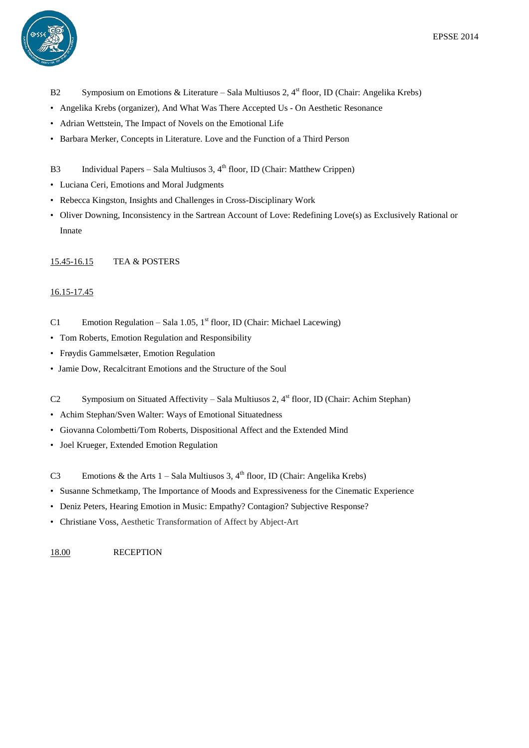

- B2 Symposium on Emotions & Literature Sala Multiusos 2, 4<sup>st</sup> floor, ID (Chair: Angelika Krebs)
- Angelika Krebs (organizer), And What Was There Accepted Us On Aesthetic Resonance
- Adrian Wettstein, The Impact of Novels on the Emotional Life
- Barbara Merker, Concepts in Literature. Love and the Function of a Third Person
- B3 Individual Papers Sala Multiusos 3, 4<sup>th</sup> floor, ID (Chair: Matthew Crippen)
- Luciana Ceri, Emotions and Moral Judgments
- Rebecca Kingston, Insights and Challenges in Cross-Disciplinary Work
- Oliver Downing, Inconsistency in the Sartrean Account of Love: Redefining Love(s) as Exclusively Rational or Innate

#### 15.45-16.15 TEA & POSTERS

#### 16.15-17.45

- C1 Emotion Regulation Sala 1.05,  $1<sup>st</sup>$  floor, ID (Chair: Michael Lacewing)
- Tom Roberts, Emotion Regulation and Responsibility
- Frøydis Gammelsæter, Emotion Regulation
- Jamie Dow, Recalcitrant Emotions and the Structure of the Soul
- C2 Symposium on Situated Affectivity Sala Multiusos 2, 4<sup>st</sup> floor, ID (Chair: Achim Stephan)
- Achim Stephan/Sven Walter: Ways of Emotional Situatedness
- Giovanna Colombetti/Tom Roberts, Dispositional Affect and the Extended Mind
- Joel Krueger, Extended Emotion Regulation
- C3 Emotions & the Arts  $1 -$  Sala Multiusos 3,  $4<sup>th</sup>$  floor, ID (Chair: Angelika Krebs)
- Susanne Schmetkamp, The Importance of Moods and Expressiveness for the Cinematic Experience
- Deniz Peters, Hearing Emotion in Music: Empathy? Contagion? Subjective Response?
- Christiane Voss, Aesthetic Transformation of Affect by Abject-Art

18.00 RECEPTION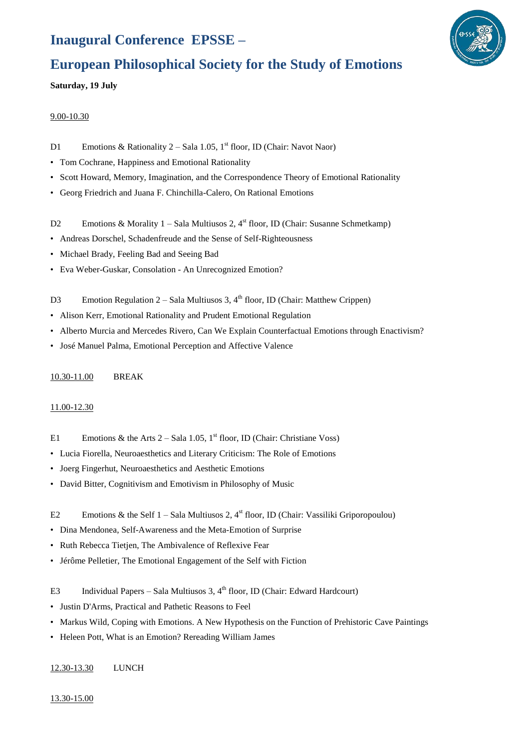## **Inaugural Conference EPSSE –**



## **European Philosophical Society for the Study of Emotions**

**Saturday, 19 July**

#### 9.00-10.30

- D1 Emotions & Rationality 2 Sala 1.05,  $1<sup>st</sup>$  floor, ID (Chair: Navot Naor)
- Tom Cochrane, Happiness and Emotional Rationality
- Scott Howard, Memory, Imagination, and the Correspondence Theory of Emotional Rationality
- Georg Friedrich and Juana F. Chinchilla-Calero, On Rational Emotions
- D2 Emotions & Morality 1 Sala Multiusos 2, 4<sup>st</sup> floor, ID (Chair: Susanne Schmetkamp)
- Andreas Dorschel, Schadenfreude and the Sense of Self-Righteousness
- Michael Brady, Feeling Bad and Seeing Bad
- Eva Weber-Guskar, Consolation An Unrecognized Emotion?
- D3 Emotion Regulation 2 Sala Multiusos 3, 4<sup>th</sup> floor, ID (Chair: Matthew Crippen)
- Alison Kerr, Emotional Rationality and Prudent Emotional Regulation
- Alberto Murcia and Mercedes Rivero, Can We Explain Counterfactual Emotions through Enactivism?
- José Manuel Palma, Emotional Perception and Affective Valence

## 10.30-11.00 BREAK

## 11.00-12.30

- E1 Emotions & the Arts  $2 -$  Sala 1.05, 1<sup>st</sup> floor, ID (Chair: Christiane Voss)
- Lucia Fiorella, Neuroaesthetics and Literary Criticism: The Role of Emotions
- Joerg Fingerhut, Neuroaesthetics and Aesthetic Emotions
- David Bitter, Cognitivism and Emotivism in Philosophy of Music
- E2 Emotions & the Self  $1 -$  Sala Multiusos 2,  $4<sup>st</sup>$  floor, ID (Chair: Vassiliki Griporopoulou)
- Dina Mendonea, Self-Awareness and the Meta-Emotion of Surprise
- Ruth Rebecca Tietjen, The Ambivalence of Reflexive Fear
- Jérôme Pelletier, The Emotional Engagement of the Self with Fiction
- E3 Individual Papers Sala Multiusos 3, 4<sup>th</sup> floor, ID (Chair: Edward Hardcourt)
- Justin D'Arms, Practical and Pathetic Reasons to Feel
- Markus Wild, Coping with Emotions. A New Hypothesis on the Function of Prehistoric Cave Paintings
- Heleen Pott, What is an Emotion? Rereading William James

## 12.30-13.30 LUNCH

13.30-15.00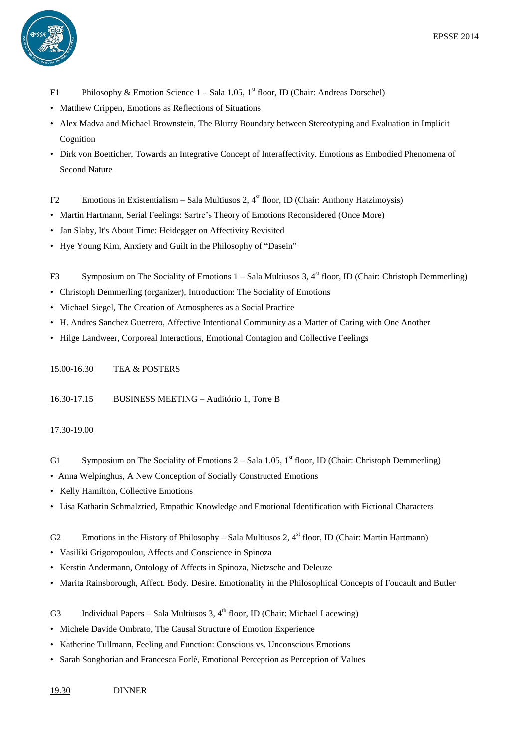

- F1 Philosophy & Emotion Science 1 Sala 1.05, 1<sup>st</sup> floor, ID (Chair: Andreas Dorschel)
- Matthew Crippen, Emotions as Reflections of Situations
- Alex Madva and Michael Brownstein, The Blurry Boundary between Stereotyping and Evaluation in Implicit Cognition
- Dirk von Boetticher, Towards an Integrative Concept of Interaffectivity. Emotions as Embodied Phenomena of Second Nature
- F2 Emotions in Existentialism Sala Multiusos 2, 4<sup>st</sup> floor, ID (Chair: Anthony Hatzimoysis)
- Martin Hartmann, Serial Feelings: Sartre's Theory of Emotions Reconsidered (Once More)
- Jan Slaby, It's About Time: Heidegger on Affectivity Revisited
- Hye Young Kim, Anxiety and Guilt in the Philosophy of "Dasein"
- F3 Symposium on The Sociality of Emotions 1 Sala Multiusos 3, 4<sup>st</sup> floor, ID (Chair: Christoph Demmerling)
- Christoph Demmerling (organizer), Introduction: The Sociality of Emotions
- Michael Siegel, The Creation of Atmospheres as a Social Practice
- H. Andres Sanchez Guerrero, Affective Intentional Community as a Matter of Caring with One Another
- Hilge Landweer, Corporeal Interactions, Emotional Contagion and Collective Feelings
- 15.00-16.30 TEA & POSTERS

16.30-17.15 BUSINESS MEETING – Auditório 1, Torre B

#### 17.30-19.00

- G1 Symposium on The Sociality of Emotions  $2 -$  Sala 1.05, 1<sup>st</sup> floor, ID (Chair: Christoph Demmerling)
- Anna Welpinghus, A New Conception of Socially Constructed Emotions
- Kelly Hamilton, Collective Emotions
- Lisa Katharin Schmalzried, Empathic Knowledge and Emotional Identification with Fictional Characters
- G2 Emotions in the History of Philosophy Sala Multiusos 2, 4<sup>st</sup> floor, ID (Chair: Martin Hartmann)
- Vasiliki Grigoropoulou, Affects and Conscience in Spinoza
- Kerstin Andermann, Ontology of Affects in Spinoza, Nietzsche and Deleuze
- Marita Rainsborough, Affect. Body. Desire. Emotionality in the Philosophical Concepts of Foucault and Butler
- G3 Individual Papers Sala Multiusos 3, 4<sup>th</sup> floor, ID (Chair: Michael Lacewing)
- Michele Davide Ombrato, The Causal Structure of Emotion Experience
- Katherine Tullmann, Feeling and Function: Conscious vs. Unconscious Emotions
- Sarah Songhorian and Francesca Forlè, Emotional Perception as Perception of Values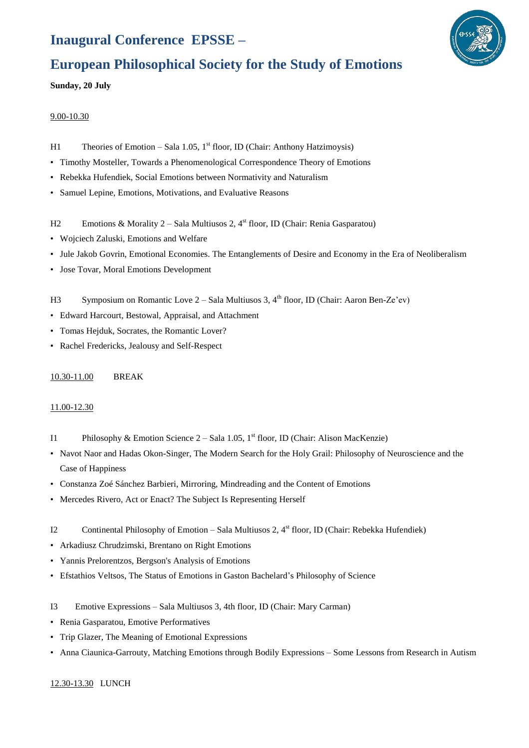# **Inaugural Conference EPSSE –**



## **European Philosophical Society for the Study of Emotions**

**Sunday, 20 July**

#### 9.00-10.30

- H1 Theories of Emotion Sala 1.05, 1<sup>st</sup> floor, ID (Chair: Anthony Hatzimoysis)
- Timothy Mosteller, Towards a Phenomenological Correspondence Theory of Emotions
- Rebekka Hufendiek, Social Emotions between Normativity and Naturalism
- Samuel Lepine, Emotions, Motivations, and Evaluative Reasons
- H2 Emotions & Morality 2 Sala Multiusos 2, 4<sup>st</sup> floor, ID (Chair: Renia Gasparatou)
- Wojciech Zaluski, Emotions and Welfare
- Jule Jakob Govrin, Emotional Economies. The Entanglements of Desire and Economy in the Era of Neoliberalism
- Jose Tovar, Moral Emotions Development
- H3 Symposium on Romantic Love 2 Sala Multiusos 3, 4<sup>th</sup> floor, ID (Chair: Aaron Ben-Ze'ev)
- Edward Harcourt, Bestowal, Appraisal, and Attachment
- Tomas Hejduk, Socrates, the Romantic Lover?
- Rachel Fredericks, Jealousy and Self-Respect

#### 10.30-11.00 BREAK

## 11.00-12.30

- I1 Philosophy & Emotion Science 2 Sala 1.05, 1<sup>st</sup> floor, ID (Chair: Alison MacKenzie)
- Navot Naor and Hadas Okon-Singer, The Modern Search for the Holy Grail: Philosophy of Neuroscience and the Case of Happiness
- Constanza Zoé Sánchez Barbieri, Mirroring, Mindreading and the Content of Emotions
- Mercedes Rivero, Act or Enact? The Subject Is Representing Herself
- I2 Continental Philosophy of Emotion Sala Multiusos 2, 4<sup>st</sup> floor, ID (Chair: Rebekka Hufendiek)
- Arkadiusz Chrudzimski, Brentano on Right Emotions
- Yannis Prelorentzos, Bergson's Analysis of Emotions
- Efstathios Veltsos, The Status of Emotions in Gaston Bachelard's Philosophy of Science
- I3 Emotive Expressions Sala Multiusos 3, 4th floor, ID (Chair: Mary Carman)
- Renia Gasparatou, Emotive Performatives
- Trip Glazer, The Meaning of Emotional Expressions
- Anna Ciaunica-Garrouty, Matching Emotions through Bodily Expressions Some Lessons from Research in Autism

## 12.30-13.30 LUNCH